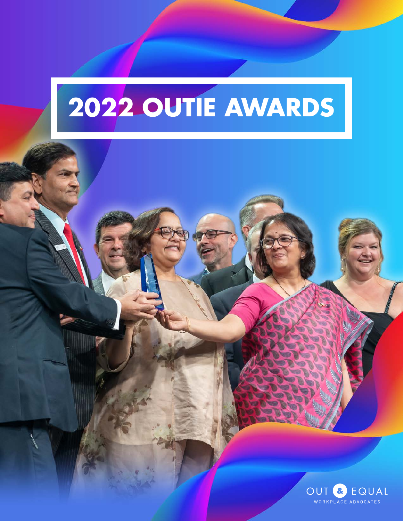# **2022 OUTIE AWARDS**

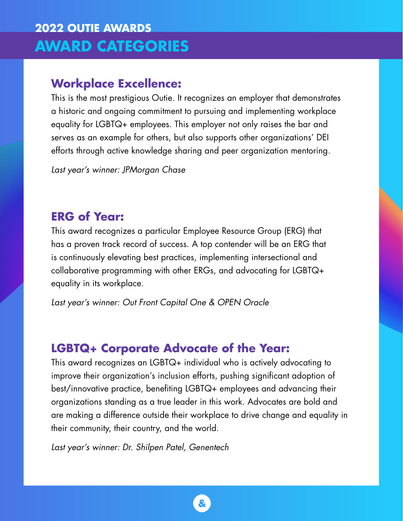# **2022 OUTIE AWARDS AWARD CATEGORIES**

## **Workplace Excellence:**

This is the most prestigious Outie. It recognizes an employer that demonstrates a historic and ongoing commitment to pursuing and implementing workplace equality for LGBTQ+ employees. This employer not only raises the bar and serves as an example for others, but also supports other organizations' DEI efforts through active knowledge sharing and peer organization mentoring.

*Last year's winner: JPMorgan Chase* 

#### **ERG of Year:**

This award recognizes a particular Employee Resource Group (ERG) that has a proven track record of success. A top contender will be an ERG that is continuously elevating best practices, implementing intersectional and collaborative programming with other ERGs, and advocating for LGBTQ+ equality in its workplace.

*Last year's winner: Out Front Capital One & OPEN Oracle* 

#### **LGBTQ+ Corporate Advocate of the Year:**

This award recognizes an LGBTQ+ individual who is actively advocating to improve their organization's inclusion efforts, pushing significant adoption of best/innovative practice, benefiting LGBTQ+ employees and advancing their organizations standing as a true leader in this work. Advocates are bold and are making a difference outside their workplace to drive change and equality in their community, their country, and the world.

*Last year's winner: Dr. Shilpen Patel, Genentech*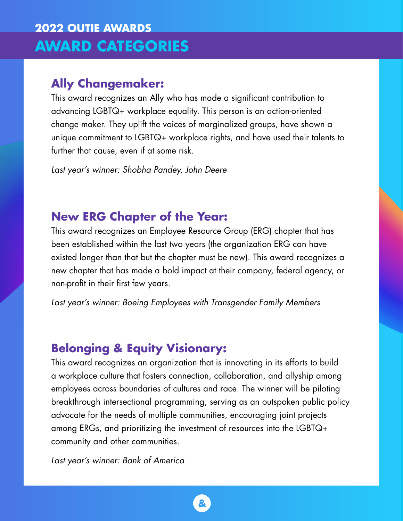# **2022 OUTIE AWARDS AWARD CATEGORIES**

## **Ally Changemaker:**

This award recognizes an Ally who has made a significant contribution to advancing LGBTQ+ workplace equality. This person is an action-oriented change maker. They uplift the voices of marginalized groups, have shown a unique commitment to LGBTQ+ workplace rights, and have used their talents to further that cause, even if at some risk.

*Last year's winner: Shobha Pandey, John Deere* 

## **New ERG Chapter of the Year:**

This award recognizes an Employee Resource Group (ERG) chapter that has been established within the last two years (the organization ERG can have existed longer than that but the chapter must be new). This award recognizes a new chapter that has made a bold impact at their company, federal agency, or non-profit in their first few years.

*Last year's winner: Boeing Employees with Transgender Family Members* 

## **Belonging & Equity Visionary:**

This award recognizes an organization that is innovating in its efforts to build a workplace culture that fosters connection, collaboration, and allyship among employees across boundaries of cultures and race. The winner will be piloting breakthrough intersectional programming, serving as an outspoken public policy advocate for the needs of multiple communities, encouraging joint projects among ERGs, and prioritizing the investment of resources into the LGBTQ+ community and other communities.

*Last year's winner: Bank of America*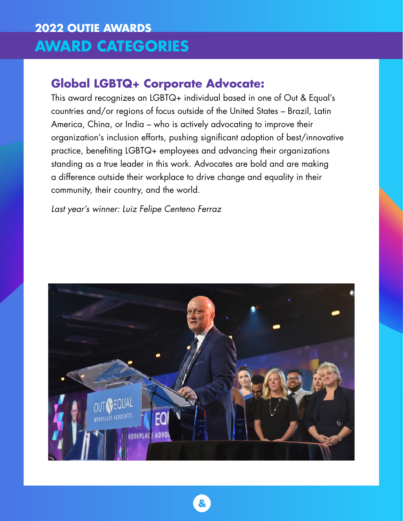# **2022 OUTIE AWARDS AWARD CATEGORIES**

## **Global LGBTQ+ Corporate Advocate:**

This award recognizes an LGBTQ+ individual based in one of Out & Equal's countries and/or regions of focus outside of the United States – Brazil, Latin America, China, or India – who is actively advocating to improve their organization's inclusion efforts, pushing significant adoption of best/innovative practice, benefiting LGBTQ+ employees and advancing their organizations standing as a true leader in this work. Advocates are bold and are making a difference outside their workplace to drive change and equality in their community, their country, and the world.

*Last year's winner: Luiz Felipe Centeno Ferraz* 

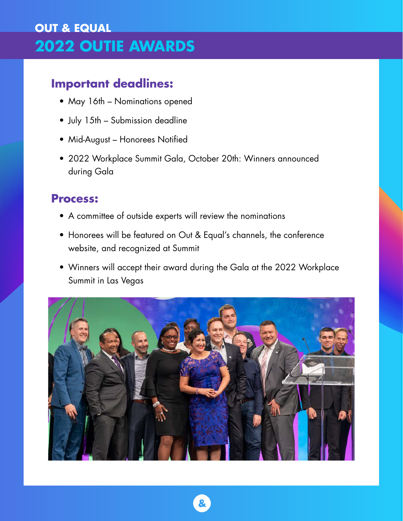# **OUT & EQUAL 2022 OUTIE AWARDS**

## **Important deadlines:**

- May 16th Nominations opened
- July 15th Submission deadline
- Mid-August Honorees Notified
- 2022 Workplace Summit Gala, October 20th: Winners announced during Gala

## **Process:**

- A committee of outside experts will review the nominations
- Honorees will be featured on Out & Equal's channels, the conference website, and recognized at Summit
- Winners will accept their award during the Gala at the 2022 Workplace Summit in Las Vegas